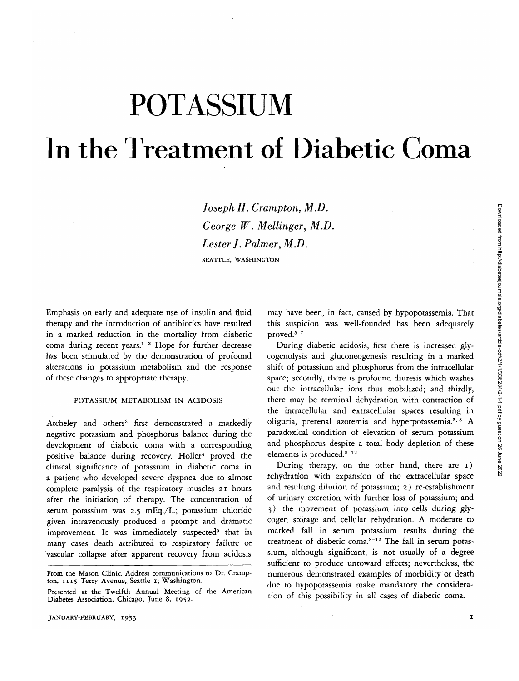# POTASSIUM In the Treatment of Diabetic Coma

*Joseph H. Crampton, M.D. George W. Mellinger, M.D. Lester J. Palmer, M.D.* SEATTLE, WASHINGTON

Emphasis on early and adequate use of insulin and fluid therapy and the introduction of antibiotics have resulted in a marked reduction in the mortality from diabetic coma during recent years.<sup>1, 2</sup> Hope for further decrease has been stimulated by the demonstration of profound alterations in potassium metabolism and the response of these changes to appropriate therapy.

# POTASSIUM METABOLISM IN ACIDOSIS

Atcheley and others<sup>3</sup> first demonstrated a markedly negative potassium and phosphorus balance during the development of diabetic coma with a corresponding positive balance during recovery. Holler<sup>4</sup> proved the clinical significance of potassium in diabetic coma in a patient who developed severe dyspnea due to almost complete paralysis of the respiratory muscles 21 hours after the initiation of therapy. The concentration of serum potassium was 2.5 mEq./L.; potassium chloride given intravenously produced a prompt and dramatic improvement. It was immediately suspected<sup>5</sup> that in many cases death attributed to respiratory failure or vascular collapse after apparent recovery from acidosis

may have been, in fact, caused by hypopotassemia. That this suspicion was well-founded has been adequately  $proved.<sup>5-7</sup>$ 

During diabetic acidosis, first there is increased glycogenolysis and gluconeogenesis resulting in a marked shift of potassium and phosphorus from the intracellular space; secondly, there is profound diuresis which washes out the intracellular ions thus mobilized; and thirdly, there may be terminal dehydration with contraction of the intracellular and extracellular spaces resulting in oliguria, prerenal azotemia and hyperpotassemia.<sup>3, 8</sup> A paradoxical condition of elevation of serum potassium and phosphorus despite a total body depletion of these elements is produced.<sup>8-12</sup>

During therapy, on the other hand, there are i) rehydration with expansion of the extracellular space and resulting dilution of potassium; 2) re-establishment of urinary excretion with further loss of potassium; and 3) the movement of potassium into cells during glycogen storage and cellular rehydration. A moderate to marked fall in serum potassium results during the treatment of diabetic coma.<sup>8-12</sup> The fall in serum potassium, although significant, is not usually of a degree sufficient to produce untoward effects; nevertheless, the numerous demonstrated examples of morbidity or death due to hypopotassemia make mandatory the consideration of this possibility in all cases of diabetic coma.

From the Mason Clinic. Address communications to Dr. Cramp- ton, 1115 Terry Avenue, Seattle i, Washington.

Presented at the Twelfth Annual Meeting of the American Diabetes Association, Chicago, June 8, 1952.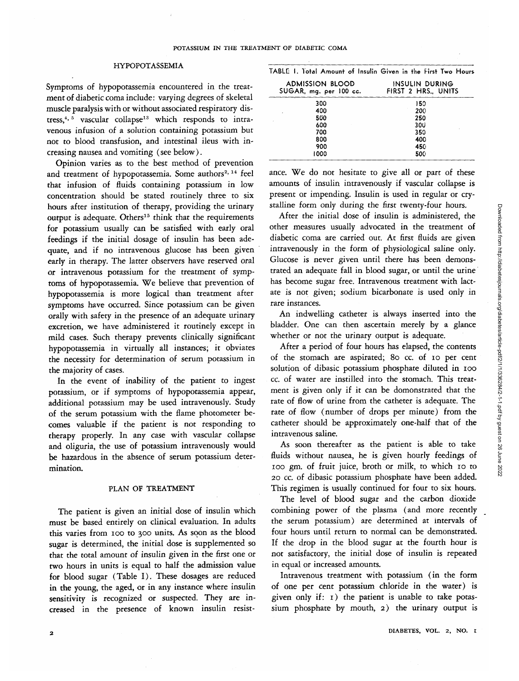### HYPOPOTASSEMIA

Symptoms of hypopotassemia encountered in the treatment of diabetic coma include: varying degrees of skeletal muscle paralysis with or without associated respiratory distress,<sup>4, 5</sup> vascular collapse<sup>13</sup> which responds to intravenous infusion of a solution containing potassium but not to blood transfusion, and intestinal ileus with increasing nausea and vomiting (see below).

Opinion varies as to the best method of prevention and treatment of hypopotassemia. Some authors<sup>2, 14</sup> feel that infusion of fluids containing potassium in low concentration should be stated routinely three to six hours after institution of therapy, providing the urinary output is adequate. Others<sup>15</sup> think that the requirements for potassium usually can be satisfied with early oral feedings if the initial dosage of insulin has been adequate, and if no intravenous glucose has been given early in therapy. The latter observers have reserved oral or intravenous potassium for the treatment of symptoms of hypopotassemia. We believe that prevention of hypopotassemia *is* more logical than treatment after symptoms have occurred. Since potassium can be given orally with safety in the presence of an adequate urinary excretion, we have administered it routinely except in mild cases. Such therapy prevents clinically significant hypopotassemia in virtually all instances; *it* obviates the necessity for determination of serum potassium in the majority of cases.

In the event of inability of the patient to ingest potassium, or if symptoms of hypopotassemia appear, additional potassium may be used intravenously. Study of the serum potassium with the flame photometer becomes valuable if the patient is not responding to therapy properly. In any case with vascular collapse and oliguria, the use of potassium intravenously would be hazardous in the absence of serum potassium determination.

# PLAN OF TREATMENT

The patient is given an initial dose of insulin which must be based entirely on clinical evaluation. In adults this varies from ioo to 300 units. As soon as the blood sugar is determined, the initial dose is supplemented so that the total amount of insulin given in the first one or two hours in units is equal to half the admission value for blood sugar (Table I). These dosages are reduced in the young, the aged, or in any instance where insulin sensitivity is recognized or suspected. They are increased in the presence of known insulin resist-

| TABLE 1. Total Amount of Insulin Given in the First Two Hours |                                     |  |
|---------------------------------------------------------------|-------------------------------------|--|
| ADMISSION BLOOD<br>SUGAR, mg. per 100 cc.                     | INSULIN DURING<br>FIRST 2 HRS UNITS |  |
|                                                               |                                     |  |

| 300      | 150 |
|----------|-----|
| 400<br>٠ | 200 |
| 500      | 250 |
| 600      | 300 |
| 700      | 350 |
| 800      | 400 |
| 900      | 450 |
| 1000     | 500 |
|          |     |

ance. We do not hesitate to *giwe* all or part of these amounts of insulin intravenously if vascular collapse is present or impending. Insulin is used in regular or crystalline form only during the first twenty-four hours.

After the initial dose of insulin is administered, the other measures usually advocated in the treatment of diabetic coma are carried out. At first fluids are given intravenously in the form of physiological saline only. Glucose is never given until there has been demonstrated an adequate fall in blood sugar, or until the urine has become sugar free. Intravenous treatment with lactate is not given; sodium bicarbonate is used only in rare instances.

An indwelling catheter is always inserted into the bladder. One can then ascertain merely by a glance whether or not the urinary output *is* adequate.

After a period of four hours has elapsed, the contents of the stomach are aspirated; 80 cc. of 10 per cent solution of dibasic potassium phosphate diluted in 100 cc. of water are instilled into the stomach. This treatment is given only if it can be domonstrated that the rate of flow of urine from the catheter is adequate. The rate of flow (number of drops per minute) from the catheter should be approximately one-half that of the intravenous saline.

As soon thereafter as the patient is able to take fluids without nausea, he is given hourly feedings of 100 gm. of fruit juice, broth or milk, to which 10 to 20 *cc.* of dibasic potassium phosphate have been added. This regimen is usually continued for four to *six* hours.

The level of blood sugar and the carbon dioxide combining power of the plasma (and more recently the serum potassium) are determined at intervals of four hours until return to normal can be demonstrated. If the drop in the blood sugar at the fourth hour is not satisfactory, the initial dose of insulin is repeated in equal or increased amounts.

Intravenous treatment with potassium (in the form of one per cent potassium chloride in the water) is given only if:  $I$ ) the patient is unable to take potassium phosphate by mouth, 2) the urinary output is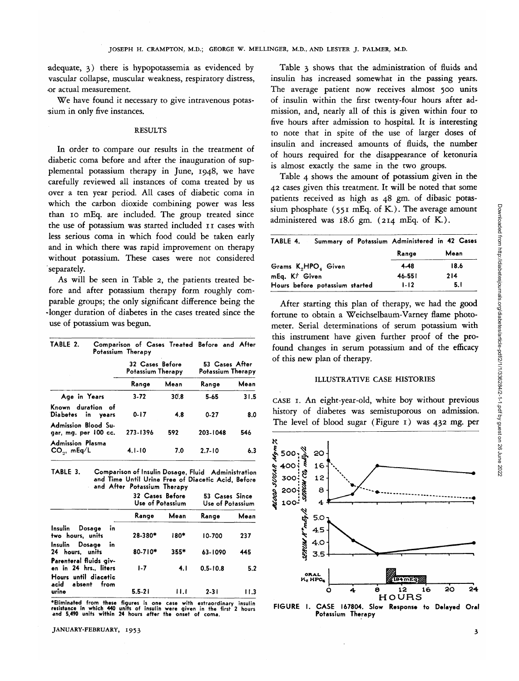adequate, 3) there is hypopotassemia as evidenced by vascular collapse, muscular weakness, respiratory distress, •or actual measurement.

We have found it necessary to give intravenous potassium in only five instances.

# **RESULTS**

In order to compare our results in the treatment of diabetic coma before and after the inauguration of supplemental potassium therapy in June, 1948, we have carefully reviewed all instances of coma treated by us over a ten year period. All cases of diabetic coma in which the carbon dioxide combining power was less than 10 mEq. are included. The group treated since the use of potassium was started included 11 cases with less serious coma in which food could be taken early and in which there was rapid improvement on therapy without potassium. These cases were not considered separately.

As will be seen in Table 2, the patients treated before and after potassium therapy form roughly comparable groups; the only significant difference being the -longer duration of diabetes in the cases treated since the use of potassium was begun.

| TABLE 2.                                     | Comparison of Cases Treated Before and After<br>Potassium Therapy |      |                                     |      |
|----------------------------------------------|-------------------------------------------------------------------|------|-------------------------------------|------|
|                                              | 32 Cases Before<br>Potassium Therapy                              |      | 53 Cases After<br>Potassium Therapy |      |
|                                              | Range                                                             | Mean | Range                               | Mean |
| Age in Years                                 | $3 - 72$                                                          | 30.8 | 5.65                                | 31.5 |
| Known duration of<br>Diabetes in years       | $0 - 17$                                                          | 4.8  | $0 - 27$                            | 8.0  |
| Admission Blood Su-<br>gar, mg. per 100 cc.  | 273-1396                                                          | 592  | 203-1048                            | 546  |
| <b>Admission Plasma</b><br>$CO_{21}$ , mEq/L | $4.1 - 10$                                                        | 7.0  | $2.7 - 10$                          | 6.3  |

**TABLE 3. Comparison of Insulin Dosage, Fluid Administration and Time Until Urine Free of Diacetic Acid, Before and After Potassium Therapy**

|                                                                         | 32 Cases Before<br>Use of Potassium |        | 53 Cases Since<br>Use of Potassium |        |
|-------------------------------------------------------------------------|-------------------------------------|--------|------------------------------------|--------|
|                                                                         | Range                               | Mean   | Range                              | Mean   |
| Insulin<br>Dosage<br>ĭn<br>two hours, units                             | $28 - 380*$                         | 180*   | 10-700                             | 237    |
| Insulin Dosage<br>in<br>24 hours, units                                 | 80-710*                             | $355*$ | 63-1090                            | 445    |
| Parenteral fluids giv-<br>en in 24 hrs., liters<br>Hours until diacetic | $1-7$                               | 4. I   | $0.5 - 10.8$                       | 5.2    |
| acid absent<br>from<br>urine                                            | $5.5 - 21$                          | 11.I   | $2 - 31$                           | l I .3 |

**\*Eliminated from these figures is one case with extraordinary insulin resistance in which 440 units of insulin were given in the first 2 hours and 5,490 units within 24 hours after the onset of coma.**

JANUARY-FEBRUARY, 1953

Table 3 shows that the administration of fluids and insulin has increased somewhat in the passing years. The average patient now receives almost 500 units of insulin within the first twenty-four hours after admission, and, nearly all of this is given within four to five hours after admission to hospital. It is interesting to note that in spite of the use of larger doses of insulin and increased amounts of fluids, the number of hours required for the disappearance of ketonuria is almost exactly the same in the two groups.

Table 4 shows the amount of potassium given in the 42 cases given this treatment. It will be noted that some patients received as high as 48 gm. of dibasic potassium phosphate  $(551 \text{ mEq. of K.})$ . The average amount administered was 18.6 gm. (214 mEq. of K.).

| Summary of Potassium Administered in 42 Cases<br>TABLE 4. |          |      |
|-----------------------------------------------------------|----------|------|
|                                                           | Range    | Mean |
| Grams K <sub>2</sub> HPO <sub>2</sub> Given               | 4.48     | 18.6 |
| mEq. Kt Given                                             | 46-551   | 214  |
| Hours before potassium started                            | $1 - 12$ | 5. I |

After starting this plan of therapy, we had the good fortune to obtain a Weichselbaum-Varney flame photometer. Serial determinations of serum potassium with this instrument have given further proof of the profound changes in serum potassium and of the efficacy of this new plan of therapy.

### ILLUSTRATIVE CASE HISTORIES

CASE 1. An eight-year-old, white boy without previous history of diabetes was semistuporous on admission. The level of blood sugar (Figure 1) was 432 mg. per



**FIGURE I. CASE 167804. Slow Response to Delayed Oral Potassium Therapy**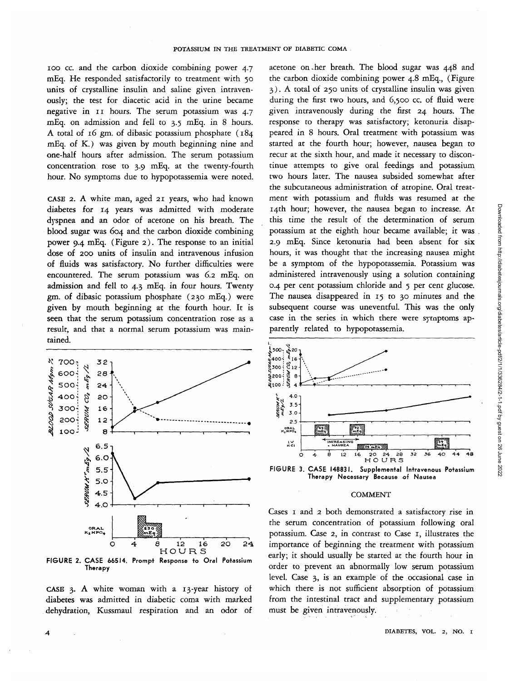ioo cc. and the carbon dioxide combining power 4.7 mEq. He responded satisfactorily to treatment with 50 units of crystalline insulin and saline given intravenously; the test for diacetic acid in the urine became negative in 11 hours. The serum potassium was 4.7 mEq. on admission and fell to 3.5 mEq. in 8 hours. A total of 16 gm. of dibasic potassium phosphate (184 mEq. of K.) was given by mouth beginning nine and one-half hours after admission. The serum potassium concentration rose to 3.9 mEq. at the twenty-fourth hour. No symptoms due to hypopotassemia were noted.

CASE 2. A white man, aged 21 years, who had known diabetes for 14 years was admitted with moderate dyspnea and an odor of acetone on his breath. The blood sugar was 604 and the carbon dioxide combining power 9.4 mEq. (Figure 2). The response to an initial dose of 200 units of insulin and intravenous infusion of fluids was satisfactory. No further difficulties were encountered. The serum potassium was 6.2 mEq. on admission and fell to 4.3 mEq. in four hours. Twenty gm. of dibasic potassium phosphate (230 mEq.) were given by mouth beginning at the fourth hour. It *is* seen that the serum potassium concentration rose as a result, and that a normal serum potassium was maintained.



**Therapy**

CASE 3. A white woman with a 13-year history of diabetes was admitted in diabetic coma with marked dehydration, Kussmaul respiration and an odor of

acetone on-her breath. The blood sugar was 448 and the carbon dioxide combining power 4.8 mEq., (Figure 3). A total of 250 units of crystalline insulin was given during the first two hours, and 6,500 cc. of fluid were given intravenously during the first 24 hours. The response to therapy was satisfactory; ketonuria disappeared in 8 hours. Oral treatment with potassium was started at the fourth hour; however, nausea began to recur at the sixth hour, and made *it* necessary to discontinue attempts to give oral feedings and potassium two hours later. The nausea subsided somewhat after the subcutaneous administration of atropine. Oral treatment with potassium and fluids was resumed at the 14th hour; however, the nausea began to increase. At this time the result of the determination of serum potassium at the eighth hour became available; it was 2.9 mEq. Since ketonuria had been absent for six hours, *it* was thought that the increasing nausea might be a symptom of the hypopotassemia. Potassium was administered intravenously using a solution containing 0.4 per cent potassium chloride and 5 per cent glucose. The nausea disappeared in 15 to 30 minutes and the subsequent course was uneventful. This was the only case in the series in which there were symptoms apparently related to hypopotassemia.





### COMMENT

Cases 1 and 2 both demonstrated a satisfactory rise in the serum concentration of potassium following oral potassium. Case 2, in contrast to Case 1, illustrates the importance of beginning the treatment with potassium early; it should usually be started at the fourth hour in order to prevent an abnormally low serum potassium level. Case 3, is an example of the occasional case in which there is not sufficient absorption of potassium from the intestinal tract and supplementary potassium must be given intravenously.

Downloaded from http://diabetesjournals.org/diabetes/article-pdf/2/1/1/336284/2-1-1.pdf by guest on 26 June 2022 Downloaded from http://diabetesjournals.org/diabetes/article-pdf/2/1/1/336284/2-1-1.pdf by guest on 26 June 2022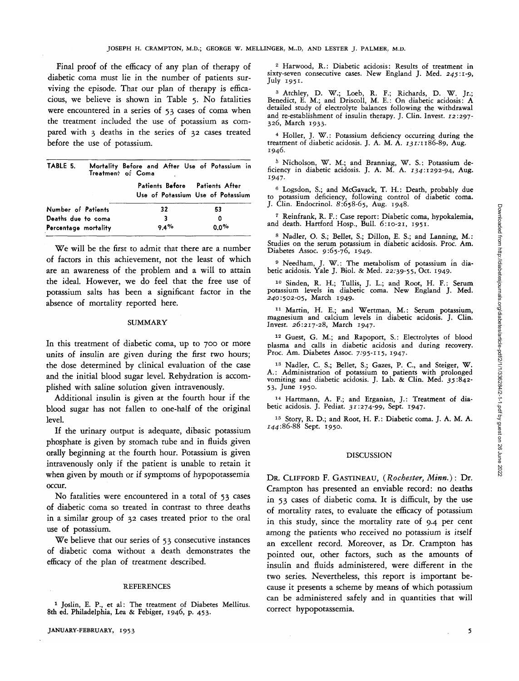Final proof of the efficacy of any plan of therapy of diabetic coma must lie in the number of patients surviving the episode. That our plan of therapy is efficacious, we believe is shown in Table 5. No fatalities were encountered in a series of 53 cases of coma when the treatment included the use of potassium as compared with 3 deaths in the series of 32 cases treated before the use of potassium.

| TABLE 5.             | Treatment of Coma | Mortality Before and After Use of Potassium in |                                   |
|----------------------|-------------------|------------------------------------------------|-----------------------------------|
|                      |                   | Patients Before Patients After                 | Use of Potassium Use of Potassium |
| Number of Patients   |                   | 32                                             | 53                                |
| Deaths due to coma   |                   | 3                                              | 0                                 |
| Percentage mortality |                   | 9.4%                                           | $0.0\%$                           |

We will be the first to admit that there are a number of factors in this achievement, not the least of which are an awareness of the problem and a will to attain the ideal. However, we do feel that the free use of potassium salts has been a significant factor in the absence of mortality reported here.

### SUMMARY

In this treatment of diabetic coma, up to 700 or more units of insulin are given during the first two hours; the dose determined by clinical evaluation of the case and the initial blood sugar level. Rehydration is accomplished with saline solution given intravenously.

Additional insulin is given at the fourth hour if the blood sugar has not fallen to one-half of the original level.

If the urinary output is adequate, dibasic potassium phosphate is given by stomach tube and in fluids given orally beginning at the fourth hour. Potassium is given intravenously only if the patient is unable to retain it when given by mouth or if symptoms of hypopotassemia occur.

No fatalities were encountered in a total of 53 cases of diabetic coma so treated in contrast to three deaths in a similar group of 32 cases treated prior to the oral use of potassium.

We believe that our series of 53 consecutive instances of diabetic coma without a death demonstrates the efficacy of the plan of treatment described.

### **REFERENCES**

JANUARY-FEBRUARY, 1953

<sup>2</sup> Harwood, R.: Diabetic acidosis: Results of treatment in sixty-seven consecutive cases. New England J. Med. 245:1-9, July 1951.

3 Atchley, D. W.; Loeb, R. F.; Richards, D. W. Jr.; Benedict, E. M.; and Driscoll, M. E.: On diabetic acidosis: A detailed study of electrolyte balances following the withdrawal and re-establishment of insulin therapy. J. Clin. Invest. 12:297- 326, March 1933.

4 Holler, J. W.: Potassium deficiency occurring during the treatment of diabetic acidosis. J. A. M. A. *131:1*186-89, Aug. 1946.

<sup>5</sup> Nicholson, W. M.; and Branniag, W. S.: Potassium deficiency in diabetic acidosis. J. A. M. A.  $134:1292-94$ , Aug. 1947.

<sup>6</sup> Logsdon, S.; and McGavack, T. H.: Death, probably due to potassium deficiency, following control of diabetic coma.<br>J. Clin. Endocrinol. 8:658-65, Aug. 1948.

7 Reinfrank, R. F.: Case report: Diabetic coma, hypokalemia, and death. Hartford Hosp., Bull. 6:10-21, 1951.

8 Nadler, O. S.; Bellet, S.; Dillon, E. S.; and Lanning, M.: Studies on the serum potassium in diabetic acidosis. Proc. Am.<br>Diabetes Assoc. 9:65-76, 1949.

9 Needham, J. W.: The metabolism of potassium in dia- betic acidosis. Yale J. Biol. & Med. 22:39-55, Oct. 1949.

10 Sinden, R. H.; Tullis, J. L.; and Root, H. F.: Serum potassium levels in diabetic coma. New England J. Med. 240:502-05, March 1949.

11 Martin, H. E.; and Wertman, M.: Serum potassium, magnesium and calcium levels in diabetic acidosis. J. Clin. Invest. 26:217-28, March 1947.

12 Guest, G. M.; and Rapoport, S.: Electrolytes of blood plasma and calls in diabetic acidosis and during recovery. Proc. Am. Diabetes Assoc. 7:95-115, 1947.

<sup>13</sup> Nadler, C. S.; Bellet, S.; Gazes, P. C., and Steiger, W. <sup>13</sup> Nadler, C. S.; Bellet, S.; Gazes, P. C., and Steiger, W.<br>A.: Administration of potassium to patients with prolonged vomiting and diabetic acidosis. J. Lab. & Clin. Med. 35:842-<br>53, June 1950.

14 Hartmann, A. F.; and Erganian, J.: Treatment of dia- betic acidosis. J. Pediat. 31:274-99, Sept. 1947.

<sup>15</sup> Story, R. D.; and Root, H. F.: Diabetic coma. J. A. M. A.  $144:86-88$  Sept. 1950.

### DISCUSSION

DR. CLIFFORD F. GASTINEAU, *(Rochester, Minn.):* Dr. Crampton has presented an enviable record: no deaths in 53 cases of diabetic coma. It is difficult, by the use of mortality rates, to evaluate the efficacy of potassium in this study, since the mortality rate of 9.4 per cent among the patients who received no potassium is itself an excellent record. Moreover, as Dr. Crampton has pointed out, other factors, such as the amounts of insulin and fluids administered, were different in the two series. Nevertheless, this report is important because it presents a scheme by means of which potassium can be administered safely and in quantities that will correct hypopotassemia.

5

<sup>1</sup> Joslin, E. P., et al: The treatment of Diabetes Mellitus. 8th ed. Philadelphia, Lea & Febiger, 1946, p. 453.